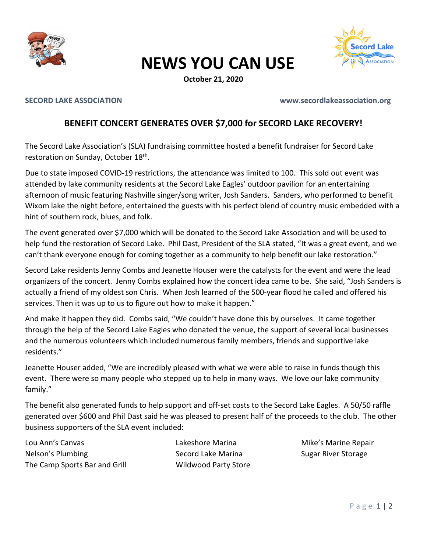

## NEWS YOU CAN USE



## SECORD LAKE ASSOCIATION www.secordlakeassociation.org

## BENEFIT CONCERT GENERATES OVER \$7,000 for SECORD LAKE RECOVERY!

The Secord Lake Association's (SLA) fundraising committee hosted a benefit fundraiser for Secord Lake restoration on Sunday, October 18th.

Due to state imposed COVID-19 restrictions, the attendance was limited to 100. This sold out event was attended by lake community residents at the Secord Lake Eagles' outdoor pavilion for an entertaining afternoon of music featuring Nashville singer/song writer, Josh Sanders. Sanders, who performed to benefit Wixom lake the night before, entertained the guests with his perfect blend of country music embedded with a hint of southern rock, blues, and folk.

The event generated over \$7,000 which will be donated to the Secord Lake Association and will be used to help fund the restoration of Secord Lake. Phil Dast, President of the SLA stated, "It was a great event, and we can't thank everyone enough for coming together as a community to help benefit our lake restoration."

Secord Lake residents Jenny Combs and Jeanette Houser were the catalysts for the event and were the lead organizers of the concert. Jenny Combs explained how the concert idea came to be. She said, "Josh Sanders is actually a friend of my oldest son Chris. When Josh learned of the 500-year flood he called and offered his services. Then it was up to us to figure out how to make it happen."

And make it happen they did. Combs said, "We couldn't have done this by ourselves. It came together through the help of the Secord Lake Eagles who donated the venue, the support of several local businesses and the numerous volunteers which included numerous family members, friends and supportive lake residents."

Jeanette Houser added, "We are incredibly pleased with what we were able to raise in funds though this event. There were so many people who stepped up to help in many ways. We love our lake community family."

The benefit also generated funds to help support and off-set costs to the Secord Lake Eagles. A 50/50 raffle generated over \$600 and Phil Dast said he was pleased to present half of the proceeds to the club. The other business supporters of the SLA event included:

Lou Ann's Canvas Lakeshore Marina Mike's Marine Repair Nelson's Plumbing The Secord Lake Marina Sugar River Storage Sugar River Storage The Camp Sports Bar and Grill Wildwood Party Store